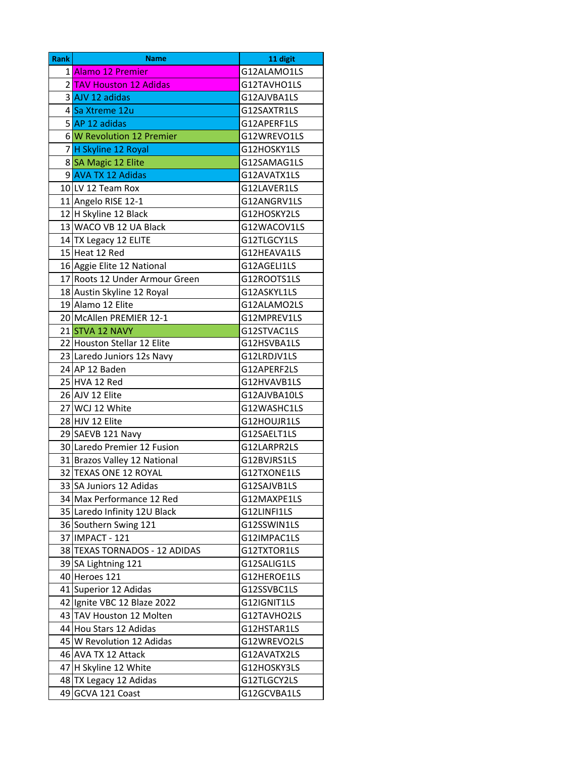| <b>Rank</b> | <b>Name</b>                    | 11 digit     |  |
|-------------|--------------------------------|--------------|--|
|             | 1 Alamo 12 Premier             | G12ALAMO1LS  |  |
|             | 2 TAV Houston 12 Adidas        | G12TAVHO1LS  |  |
|             | 3 AJV 12 adidas                | G12AJVBA1LS  |  |
|             | 4 Sa Xtreme 12u                | G12SAXTR1LS  |  |
|             | 5 AP 12 adidas                 | G12APERF1LS  |  |
|             | 6 W Revolution 12 Premier      | G12WREVO1LS  |  |
|             | 7H Skyline 12 Royal            | G12HOSKY1LS  |  |
|             | 8 SA Magic 12 Elite            | G12SAMAG1LS  |  |
|             | 9 AVA TX 12 Adidas             | G12AVATX1LS  |  |
|             | 10 LV 12 Team Rox              | G12LAVER1LS  |  |
|             | 11 Angelo RISE 12-1            | G12ANGRV1LS  |  |
|             | 12 H Skyline 12 Black          | G12HOSKY2LS  |  |
|             | 13 WACO VB 12 UA Black         | G12WACOV1LS  |  |
|             | 14 TX Legacy 12 ELITE          | G12TLGCY1LS  |  |
|             | 15 Heat 12 Red                 | G12HEAVA1LS  |  |
|             | 16 Aggie Elite 12 National     | G12AGELI1LS  |  |
|             | 17 Roots 12 Under Armour Green | G12ROOTS1LS  |  |
|             | 18 Austin Skyline 12 Royal     | G12ASKYL1LS  |  |
|             | 19 Alamo 12 Elite              | G12ALAMO2LS  |  |
|             | 20 McAllen PREMIER 12-1        | G12MPREV1LS  |  |
|             | 21 STVA 12 NAVY                | G12STVAC1LS  |  |
|             | 22 Houston Stellar 12 Elite    | G12HSVBA1LS  |  |
|             | 23 Laredo Juniors 12s Navy     | G12LRDJV1LS  |  |
|             | 24 AP 12 Baden                 | G12APERF2LS  |  |
|             | 25 HVA 12 Red                  | G12HVAVB1LS  |  |
|             | 26 AJV 12 Elite                | G12AJVBA10LS |  |
|             | 27 WCJ 12 White                | G12WASHC1LS  |  |
|             | 28 HJV 12 Elite                | G12HOUJR1LS  |  |
|             | 29 SAEVB 121 Navy              | G12SAELT1LS  |  |
|             | 30 Laredo Premier 12 Fusion    | G12LARPR2LS  |  |
|             | 31 Brazos Valley 12 National   | G12BVJRS1LS  |  |
|             | 32 TEXAS ONE 12 ROYAL          | G12TXONE1LS  |  |
|             | 33 SA Juniors 12 Adidas        | G12SAJVB1LS  |  |
|             | 34 Max Performance 12 Red      | G12MAXPE1LS  |  |
|             | 35 Laredo Infinity 12U Black   | G12LINFI1LS  |  |
|             | 36 Southern Swing 121          | G12SSWIN1LS  |  |
|             | 37 IMPACT - 121                | G12IMPAC1LS  |  |
|             | 38 TEXAS TORNADOS - 12 ADIDAS  | G12TXTOR1LS  |  |
|             | 39 SA Lightning 121            | G12SALIG1LS  |  |
|             | 40 Heroes 121                  | G12HEROE1LS  |  |
|             | 41 Superior 12 Adidas          | G12SSVBC1LS  |  |
|             | 42 Ignite VBC 12 Blaze 2022    | G12IGNIT1LS  |  |
|             | 43 TAV Houston 12 Molten       | G12TAVHO2LS  |  |
|             | 44 Hou Stars 12 Adidas         | G12HSTAR1LS  |  |
|             | 45 W Revolution 12 Adidas      | G12WREVO2LS  |  |
|             | 46 AVA TX 12 Attack            | G12AVATX2LS  |  |
|             | 47 H Skyline 12 White          | G12HOSKY3LS  |  |
|             | 48 TX Legacy 12 Adidas         | G12TLGCY2LS  |  |
| 49          | GCVA 121 Coast                 | G12GCVBA1LS  |  |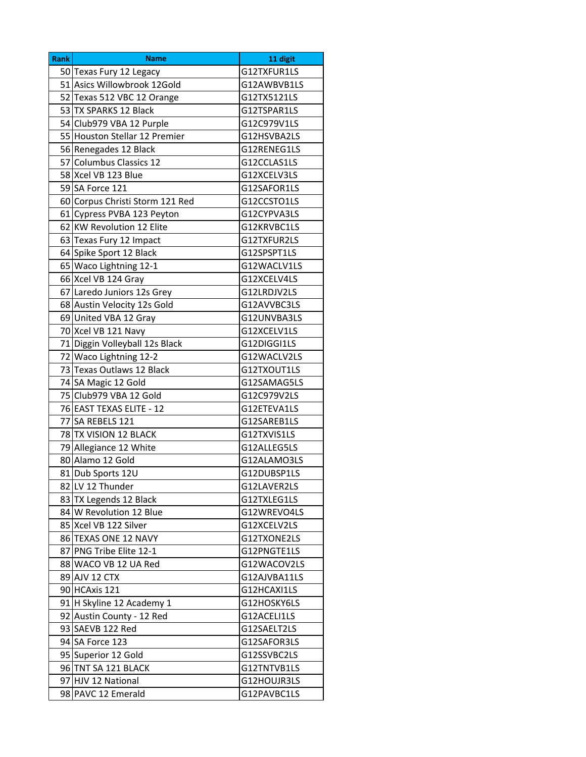| <b>Rank</b> | <b>Name</b>                     | 11 digit     |  |
|-------------|---------------------------------|--------------|--|
|             | 50 Texas Fury 12 Legacy         | G12TXFUR1LS  |  |
|             | 51 Asics Willowbrook 12Gold     | G12AWBVB1LS  |  |
|             | 52 Texas 512 VBC 12 Orange      | G12TX5121LS  |  |
|             | 53 TX SPARKS 12 Black           | G12TSPAR1LS  |  |
|             | 54 Club979 VBA 12 Purple        | G12C979V1LS  |  |
|             | 55 Houston Stellar 12 Premier   | G12HSVBA2LS  |  |
|             | 56 Renegades 12 Black           | G12RENEG1LS  |  |
|             | 57 Columbus Classics 12         | G12CCLAS1LS  |  |
|             | 58 Xcel VB 123 Blue             | G12XCELV3LS  |  |
|             | 59 SA Force 121                 | G12SAFOR1LS  |  |
|             | 60 Corpus Christi Storm 121 Red | G12CCSTO1LS  |  |
|             | 61 Cypress PVBA 123 Peyton      | G12CYPVA3LS  |  |
|             | 62 KW Revolution 12 Elite       | G12KRVBC1LS  |  |
|             | 63 Texas Fury 12 Impact         | G12TXFUR2LS  |  |
|             | 64 Spike Sport 12 Black         | G12SPSPT1LS  |  |
|             | 65 Waco Lightning 12-1          | G12WACLV1LS  |  |
|             | 66 Xcel VB 124 Gray             | G12XCELV4LS  |  |
|             | 67 Laredo Juniors 12s Grey      | G12LRDJV2LS  |  |
|             | 68 Austin Velocity 12s Gold     | G12AVVBC3LS  |  |
|             | 69 United VBA 12 Gray           | G12UNVBA3LS  |  |
|             | 70 Xcel VB 121 Navy             | G12XCELV1LS  |  |
|             | 71 Diggin Volleyball 12s Black  | G12DIGGI1LS  |  |
|             | 72 Waco Lightning 12-2          | G12WACLV2LS  |  |
|             | 73 Texas Outlaws 12 Black       | G12TXOUT1LS  |  |
|             | 74 SA Magic 12 Gold             | G12SAMAG5LS  |  |
|             | 75 Club979 VBA 12 Gold          | G12C979V2LS  |  |
|             | 76 EAST TEXAS ELITE - 12        | G12ETEVA1LS  |  |
|             | 77 SA REBELS 121                | G12SAREB1LS  |  |
|             | 78 TX VISION 12 BLACK           | G12TXVIS1LS  |  |
|             | 79 Allegiance 12 White          | G12ALLEG5LS  |  |
|             | 80 Alamo 12 Gold                | G12ALAMO3LS  |  |
|             | 81 Dub Sports 12U               | G12DUBSP1LS  |  |
|             | 82 LV 12 Thunder                | G12LAVER2LS  |  |
|             | 83 TX Legends 12 Black          | G12TXLEG1LS  |  |
|             | 84 W Revolution 12 Blue         | G12WREVO4LS  |  |
|             | 85 Xcel VB 122 Silver           | G12XCELV2LS  |  |
|             | 86 TEXAS ONE 12 NAVY            | G12TXONE2LS  |  |
|             | 87 PNG Tribe Elite 12-1         | G12PNGTE1LS  |  |
|             | 88 WACO VB 12 UA Red            | G12WACOV2LS  |  |
|             | 89 AJV 12 CTX                   | G12AJVBA11LS |  |
|             | 90 HCAxis 121                   | G12HCAXI1LS  |  |
|             | 91 H Skyline 12 Academy 1       | G12HOSKY6LS  |  |
|             | 92 Austin County - 12 Red       | G12ACELI1LS  |  |
|             | 93 SAEVB 122 Red                | G12SAELT2LS  |  |
|             | 94 SA Force 123                 | G12SAFOR3LS  |  |
|             | 95 Superior 12 Gold             | G12SSVBC2LS  |  |
|             | 96 TNT SA 121 BLACK             | G12TNTVB1LS  |  |
|             | 97 HJV 12 National              | G12HOUJR3LS  |  |
|             | 98 PAVC 12 Emerald              | G12PAVBC1LS  |  |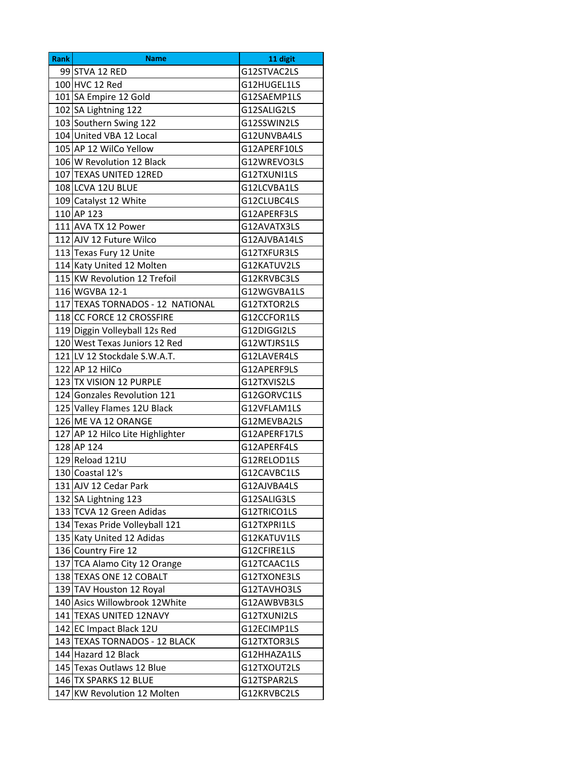| <b>Rank</b> | <b>Name</b>                      | 11 digit     |  |
|-------------|----------------------------------|--------------|--|
|             | 99 STVA 12 RED                   | G12STVAC2LS  |  |
|             | 100 HVC 12 Red                   | G12HUGEL1LS  |  |
|             | 101 SA Empire 12 Gold            | G12SAEMP1LS  |  |
|             | 102 SA Lightning 122             | G12SALIG2LS  |  |
|             | 103 Southern Swing 122           | G12SSWIN2LS  |  |
|             | 104 United VBA 12 Local          | G12UNVBA4LS  |  |
|             | 105 AP 12 WilCo Yellow           | G12APERF10LS |  |
|             | 106 W Revolution 12 Black        | G12WREVO3LS  |  |
|             | 107 TEXAS UNITED 12RED           | G12TXUNI1LS  |  |
|             | 108 LCVA 12U BLUE                | G12LCVBA1LS  |  |
|             | 109 Catalyst 12 White            | G12CLUBC4LS  |  |
|             | 110 AP 123                       | G12APERF3LS  |  |
|             | 111 AVA TX 12 Power              | G12AVATX3LS  |  |
|             | 112 AJV 12 Future Wilco          | G12AJVBA14LS |  |
|             | 113 Texas Fury 12 Unite          | G12TXFUR3LS  |  |
|             | 114 Katy United 12 Molten        | G12KATUV2LS  |  |
|             | 115 KW Revolution 12 Trefoil     | G12KRVBC3LS  |  |
|             | 116 WGVBA 12-1                   | G12WGVBA1LS  |  |
|             | 117 TEXAS TORNADOS - 12 NATIONAL | G12TXTOR2LS  |  |
|             | 118 CC FORCE 12 CROSSFIRE        | G12CCFOR1LS  |  |
|             | 119 Diggin Volleyball 12s Red    | G12DIGGI2LS  |  |
|             | 120 West Texas Juniors 12 Red    | G12WTJRS1LS  |  |
|             | 121 LV 12 Stockdale S.W.A.T.     | G12LAVER4LS  |  |
|             | 122 AP 12 HilCo                  | G12APERF9LS  |  |
|             | 123 TX VISION 12 PURPLE          | G12TXVIS2LS  |  |
|             | 124 Gonzales Revolution 121      | G12GORVC1LS  |  |
|             | 125 Valley Flames 12U Black      | G12VFLAM1LS  |  |
|             | 126 ME VA 12 ORANGE              | G12MEVBA2LS  |  |
|             | 127 AP 12 Hilco Lite Highlighter | G12APERF17LS |  |
|             | 128 AP 124                       | G12APERF4LS  |  |
|             | 129 Reload 121U                  | G12RELOD1LS  |  |
|             | 130 Coastal 12's                 | G12CAVBC1LS  |  |
|             | 131 AJV 12 Cedar Park            | G12AJVBA4LS  |  |
|             | 132 SA Lightning 123             | G12SALIG3LS  |  |
|             | 133 TCVA 12 Green Adidas         | G12TRICO1LS  |  |
|             | 134 Texas Pride Volleyball 121   | G12TXPRI1LS  |  |
|             | 135 Katy United 12 Adidas        | G12KATUV1LS  |  |
|             | 136 Country Fire 12              | G12CFIRE1LS  |  |
|             | 137 TCA Alamo City 12 Orange     | G12TCAAC1LS  |  |
|             | 138 TEXAS ONE 12 COBALT          | G12TXONE3LS  |  |
|             | 139 TAV Houston 12 Royal         | G12TAVHO3LS  |  |
|             | 140 Asics Willowbrook 12 White   | G12AWBVB3LS  |  |
|             | 141 TEXAS UNITED 12NAVY          | G12TXUNI2LS  |  |
|             | 142 EC Impact Black 12U          | G12ECIMP1LS  |  |
|             | 143 TEXAS TORNADOS - 12 BLACK    | G12TXTOR3LS  |  |
|             | 144 Hazard 12 Black              | G12HHAZA1LS  |  |
|             | 145 Texas Outlaws 12 Blue        | G12TXOUT2LS  |  |
|             | 146 TX SPARKS 12 BLUE            | G12TSPAR2LS  |  |
| 147         | KW Revolution 12 Molten          | G12KRVBC2LS  |  |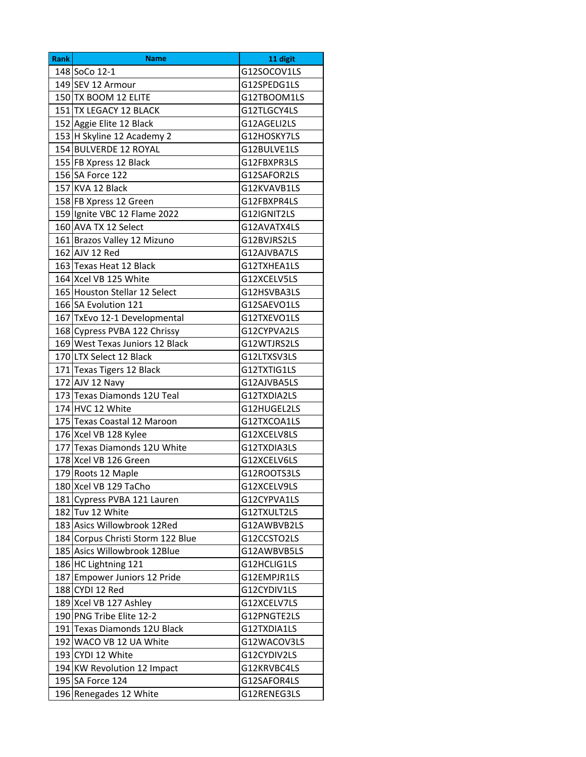| G12WACOV3LS |
|-------------|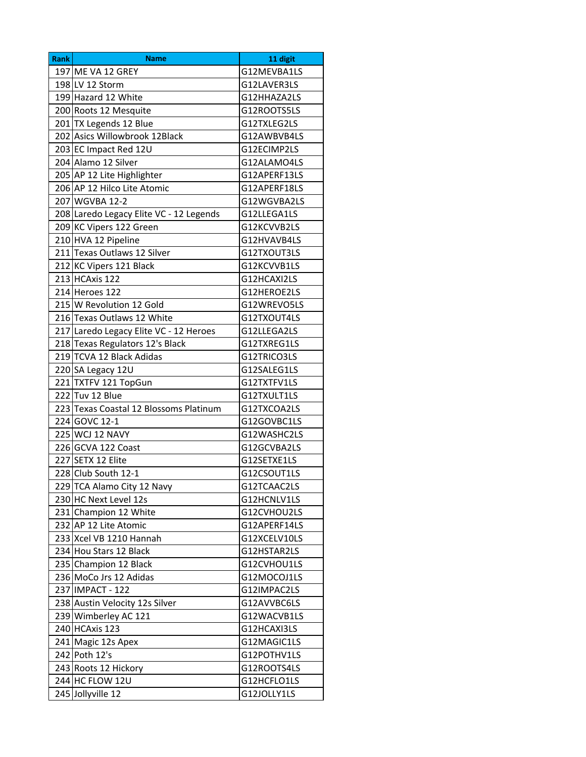| <b>Rank</b> | <b>Name</b>                             | 11 digit     |
|-------------|-----------------------------------------|--------------|
|             | 197 ME VA 12 GREY                       | G12MEVBA1LS  |
|             | 198 LV 12 Storm                         | G12LAVER3LS  |
|             | 199 Hazard 12 White                     | G12HHAZA2LS  |
|             | 200 Roots 12 Mesquite                   | G12ROOTS5LS  |
|             | 201 TX Legends 12 Blue                  | G12TXLEG2LS  |
|             | 202 Asics Willowbrook 12Black           | G12AWBVB4LS  |
|             | 203 EC Impact Red 12U                   | G12ECIMP2LS  |
|             | 204 Alamo 12 Silver                     | G12ALAMO4LS  |
|             | 205 AP 12 Lite Highlighter              | G12APERF13LS |
|             | 206 AP 12 Hilco Lite Atomic             | G12APERF18LS |
|             | 207 WGVBA 12-2                          | G12WGVBA2LS  |
|             | 208 Laredo Legacy Elite VC - 12 Legends | G12LLEGA1LS  |
|             | 209 KC Vipers 122 Green                 | G12KCVVB2LS  |
|             | 210 HVA 12 Pipeline                     | G12HVAVB4LS  |
|             | 211 Texas Outlaws 12 Silver             | G12TXOUT3LS  |
|             | 212 KC Vipers 121 Black                 | G12KCVVB1LS  |
|             | 213 HCAxis 122                          | G12HCAXI2LS  |
|             | 214 Heroes 122                          | G12HEROE2LS  |
|             | 215 W Revolution 12 Gold                | G12WREVO5LS  |
|             | 216 Texas Outlaws 12 White              | G12TXOUT4LS  |
|             | 217 Laredo Legacy Elite VC - 12 Heroes  | G12LLEGA2LS  |
|             | 218 Texas Regulators 12's Black         | G12TXREG1LS  |
|             | 219 TCVA 12 Black Adidas                | G12TRICO3LS  |
|             | 220 SA Legacy 12U                       | G12SALEG1LS  |
|             | 221 TXTFV 121 TopGun                    | G12TXTFV1LS  |
|             | 222 Tuv 12 Blue                         | G12TXULT1LS  |
|             | 223 Texas Coastal 12 Blossoms Platinum  | G12TXCOA2LS  |
|             | 224 GOVC 12-1                           | G12GOVBC1LS  |
|             | 225 WCJ 12 NAVY                         | G12WASHC2LS  |
|             | 226 GCVA 122 Coast                      | G12GCVBA2LS  |
|             | 227 SETX 12 Elite                       | G12SETXE1LS  |
|             | 228 Club South 12-1                     | G12CSOUT1LS  |
|             | 229 TCA Alamo City 12 Navy              | G12TCAAC2LS  |
|             | 230 HC Next Level 12s                   | G12HCNLV1LS  |
|             | 231 Champion 12 White                   | G12CVHOU2LS  |
|             | 232 AP 12 Lite Atomic                   | G12APERF14LS |
|             | 233 Xcel VB 1210 Hannah                 | G12XCELV10LS |
|             | 234 Hou Stars 12 Black                  | G12HSTAR2LS  |
|             | 235 Champion 12 Black                   | G12CVHOU1LS  |
|             | 236 MoCo Jrs 12 Adidas                  | G12MOCOJ1LS  |
|             | 237 IMPACT - 122                        | G12IMPAC2LS  |
|             | 238 Austin Velocity 12s Silver          | G12AVVBC6LS  |
|             | 239 Wimberley AC 121                    | G12WACVB1LS  |
|             | 240 HCAxis 123                          | G12HCAXI3LS  |
|             | 241 Magic 12s Apex                      | G12MAGIC1LS  |
|             | 242 Poth 12's                           | G12POTHV1LS  |
|             | 243 Roots 12 Hickory                    | G12ROOTS4LS  |
|             | 244 HC FLOW 12U                         | G12HCFLO1LS  |
|             | 245 Jollyville 12                       | G12JOLLY1LS  |
|             |                                         |              |